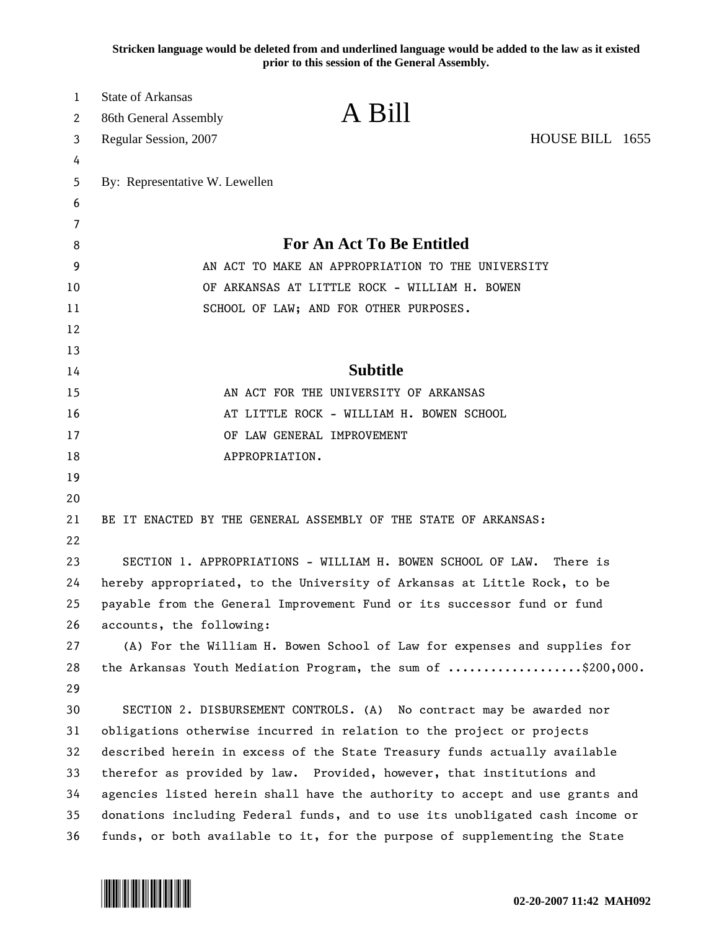**Stricken language would be deleted from and underlined language would be added to the law as it existed prior to this session of the General Assembly.**

| 1<br>2 | <b>State of Arkansas</b><br>86th General Assembly                            | A Bill                                                                |                 |  |
|--------|------------------------------------------------------------------------------|-----------------------------------------------------------------------|-----------------|--|
| 3      | Regular Session, 2007                                                        |                                                                       | HOUSE BILL 1655 |  |
| 4      |                                                                              |                                                                       |                 |  |
| 5      | By: Representative W. Lewellen                                               |                                                                       |                 |  |
| 6      |                                                                              |                                                                       |                 |  |
| 7      |                                                                              |                                                                       |                 |  |
| 8      |                                                                              | <b>For An Act To Be Entitled</b>                                      |                 |  |
| 9      |                                                                              | AN ACT TO MAKE AN APPROPRIATION TO THE UNIVERSITY                     |                 |  |
| 10     |                                                                              | OF ARKANSAS AT LITTLE ROCK - WILLIAM H. BOWEN                         |                 |  |
| 11     |                                                                              | SCHOOL OF LAW; AND FOR OTHER PURPOSES.                                |                 |  |
| 12     |                                                                              |                                                                       |                 |  |
| 13     |                                                                              |                                                                       |                 |  |
| 14     |                                                                              | <b>Subtitle</b>                                                       |                 |  |
| 15     | AN ACT FOR THE UNIVERSITY OF ARKANSAS                                        |                                                                       |                 |  |
| 16     | AT LITTLE ROCK - WILLIAM H. BOWEN SCHOOL                                     |                                                                       |                 |  |
| 17     | OF LAW GENERAL IMPROVEMENT                                                   |                                                                       |                 |  |
| 18     |                                                                              | APPROPRIATION.                                                        |                 |  |
| 19     |                                                                              |                                                                       |                 |  |
| 20     |                                                                              |                                                                       |                 |  |
| 21     |                                                                              | BE IT ENACTED BY THE GENERAL ASSEMBLY OF THE STATE OF ARKANSAS:       |                 |  |
| 22     |                                                                              |                                                                       |                 |  |
| 23     |                                                                              | SECTION 1. APPROPRIATIONS - WILLIAM H. BOWEN SCHOOL OF LAW.           | There is        |  |
| 24     | hereby appropriated, to the University of Arkansas at Little Rock, to be     |                                                                       |                 |  |
| 25     | payable from the General Improvement Fund or its successor fund or fund      |                                                                       |                 |  |
| 26     | accounts, the following:                                                     |                                                                       |                 |  |
| 27     | (A) For the William H. Bowen School of Law for expenses and supplies for     |                                                                       |                 |  |
| 28     |                                                                              | the Arkansas Youth Mediation Program, the sum of \$200,000.           |                 |  |
| 29     |                                                                              |                                                                       |                 |  |
| 30     |                                                                              | SECTION 2. DISBURSEMENT CONTROLS. (A) No contract may be awarded nor  |                 |  |
| 31     |                                                                              | obligations otherwise incurred in relation to the project or projects |                 |  |
| 32     | described herein in excess of the State Treasury funds actually available    |                                                                       |                 |  |
| 33     | therefor as provided by law. Provided, however, that institutions and        |                                                                       |                 |  |
| 34     | agencies listed herein shall have the authority to accept and use grants and |                                                                       |                 |  |
| 35     | donations including Federal funds, and to use its unobligated cash income or |                                                                       |                 |  |
| 36     | funds, or both available to it, for the purpose of supplementing the State   |                                                                       |                 |  |